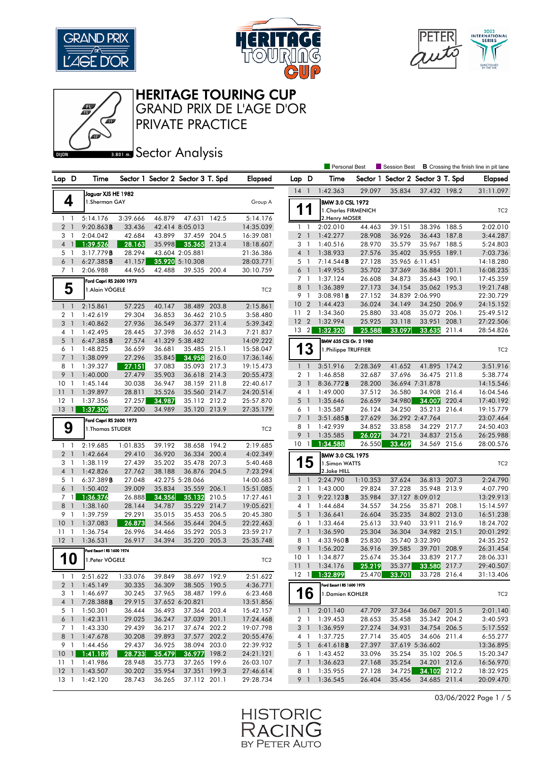

Œ





HERITAGE TOURING CUP

GRAND PRIX DE L'AGE D'OR

PRIVATE PRACTICE

**Banks** Sector Analysis

|                                        |                                             |                  |                  |                                    |       |                        |                                  |                | Personal Best              |                  | <b>Session Best</b>               |                              |       | <b>B</b> Crossing the finish line in pit lane |
|----------------------------------------|---------------------------------------------|------------------|------------------|------------------------------------|-------|------------------------|----------------------------------|----------------|----------------------------|------------------|-----------------------------------|------------------------------|-------|-----------------------------------------------|
| Lap D                                  | Time                                        |                  |                  | Sector 1 Sector 2 Sector 3 T. Spd  |       | <b>Elapsed</b>         | Lap D                            |                | Time                       |                  | Sector 1 Sector 2 Sector 3 T. Spd |                              |       | <b>Elapsed</b>                                |
|                                        | Jaguar XJS HE 1982                          |                  |                  |                                    |       |                        | $14-1$                           |                | 1:42.363                   | 29.097           | 35.834                            | 37.432 198.2                 |       | 31:11.097                                     |
| 4                                      | 1.Sherman GAY                               |                  |                  |                                    |       | Group A                |                                  |                | <b>BMW 3.0 CSL 1972</b>    |                  |                                   |                              |       |                                               |
|                                        |                                             |                  |                  |                                    |       |                        | 11                               |                | 1. Charles FIRMENICH       |                  |                                   |                              |       | TC <sub>2</sub>                               |
| $1\quad$                               | 5:14.176                                    | 3:39.666         | 46.879           | 47.631 142.5                       |       | 5:14.176               |                                  |                | 2. Henry MOSER             |                  |                                   |                              |       |                                               |
| 2 <sub>1</sub>                         | 9:20.863B                                   | 33.436           |                  | 42.414 8:05.013                    |       | 14:35.039              | $1\quad$                         |                | 2:02.010                   | 44.463           | 39.151                            | 38.396 188.5                 |       | 2:02.010                                      |
| 3 <sub>1</sub>                         | 2:04.042                                    | 42.684           | 43.899           | 37.459 204.5                       |       | 16:39.081              | 2 <sub>1</sub>                   |                | 1:42.277                   | 28.908           | 36.926                            | 36.443 187.8                 |       | 3:44.287                                      |
| $\overline{4}$<br>$\overline{1}$       | 1:39.526                                    | 28.163           | 35.998           | 35.365                             | 213.4 | 18:18.607              | 3 <sub>1</sub>                   |                | 1:40.516                   | 28.970           | 35.579                            | 35.967 188.5                 |       | 5:24.803                                      |
| 5 1<br>6 <sub>1</sub>                  | 3:17.779B<br>6:27.385B                      | 28.294           |                  | 43.604 2:05.881<br>35.920 5:10.308 |       | 21:36.386              | 4 <sup>1</sup><br>5 <sub>1</sub> |                | 1:38.933<br>7:14.544B      | 27.576<br>27.128 | 35.402                            | 35.955<br>35.965 6:11.451    | 189.1 | 7:03.736<br>14:18.280                         |
| 7 <sub>1</sub>                         | 2:06.988                                    | 41.157<br>44.965 | 42.488           | 39.535 200.4                       |       | 28:03.771<br>30:10.759 | 6                                | $\overline{1}$ | 1:49.955                   | 35.702           | 37.369                            | 36.884 201.1                 |       | 16:08.235                                     |
|                                        |                                             |                  |                  |                                    |       |                        | 7 <sub>1</sub>                   |                | 1:37.124                   | 26.608           | 34.873                            | 35.643 190.1                 |       | 17:45.359                                     |
| 5                                      | Ford Capri RS 2600 1973<br>1.Alain VÖGELE   |                  |                  |                                    |       | TC <sub>2</sub>        | 8 <sup>1</sup>                   |                | 1:36.389                   | 27.173           | 34.154                            | 35.062 195.3                 |       | 19:21.748                                     |
|                                        |                                             |                  |                  |                                    |       |                        | 9 1                              |                | $3:08.981$ <b>B</b>        | 27.152           |                                   | 34.839 2:06.990              |       | 22:30.729                                     |
| $1\quad$                               | 2:15.861                                    | 57.225           | 40.147           | 38.489 203.8                       |       | 2:15.861               | 10                               | $\overline{2}$ | 1:44.423                   | 36.024           | 34.149                            | 34.250 206.9                 |       | 24:15.152                                     |
| 2 <sub>1</sub>                         | 1:42.619                                    | 29.304           | 36.853           | 36.462 210.5                       |       | 3:58.480               | 11 <sub>2</sub>                  |                | 1:34.360                   | 25.880           | 33.408                            | 35.072 206.1                 |       | 25:49.512                                     |
| 3 <sup>1</sup>                         | 1:40.862                                    | 27.936           | 36.549           | 36.377 211.4                       |       | 5:39.342               | 12 <sub>2</sub>                  |                | 1:32.994                   | 25.925           | 33.118                            | 33.951                       | 208.1 | 27:22.506                                     |
| 4 1                                    | 1:42.495                                    | 28.445           | 37.398           | 36.652 214.3                       |       | 7:21.837               | $13 \quad 2$                     |                | 1:32.320                   | 25.588           | 33.097                            | 33.635                       | 211.4 | 28:54.826                                     |
| 5<br>$\overline{1}$                    | 6:47.385B                                   | 27.574           |                  | 41.329 5:38.482                    |       | 14:09.222              |                                  |                | BMW 635 CSi Gr. 2 1980     |                  |                                   |                              |       |                                               |
| 6 1                                    | 1:48.825                                    | 36.659           | 36.681           | 35.485 215.1                       |       | 15:58.047              |                                  | 13             | 1.Philippe TRUFFIER        |                  |                                   |                              |       | TC <sub>2</sub>                               |
| 7 <sub>1</sub>                         | 1:38.099                                    | 27.296           | 35.845           | 34.958                             | 216.0 | 17:36.146              |                                  |                |                            |                  |                                   |                              |       |                                               |
| 8<br>$\overline{1}$                    | 1:39.327                                    | 27.151           | 37.083           | 35.093 217.3                       |       | 19:15.473              | $1\quad$                         |                | 3:51.916                   | 2:28.369         | 41.652                            | 41.895 174.2                 |       | 3:51.916                                      |
| 9<br>$\overline{1}$                    | 1:40.000                                    | 27.479           | 35.903           | 36.618 214.3                       |       | 20:55.473              | 2 <sub>1</sub>                   |                | 1:46.858                   | 32.687           | 37.696                            | 36.475 211.8                 |       | 5:38.774                                      |
| 10 <sub>1</sub><br>$\overline{1}$      | 1:45.144                                    | 30.038           | 36.947           | 38.159 211.8                       |       | 22:40.617              | 3                                | $\overline{1}$ | 8:36.772B                  | 28.200           |                                   | 36.694 7:31.878              |       | 14:15.546                                     |
| 11<br>12<br>-1                         | 1:39.897                                    | 28.811<br>27.257 | 35.526<br>34.987 | 35.560 214.7<br>35.112 212.2       |       | 24:20.514<br>25:57.870 | $4-1$<br>$5-1$                   |                | 1:49.000<br>1:35.646       | 37.512<br>26.659 | 36.580<br>34.980                  | 34.908 216.4<br>34.007       | 220.4 | 16:04.546<br>17:40.192                        |
| $13 \quad 1$                           | 1:37.356<br>1:37.309                        | 27.200           | 34.989           | 35.120 213.9                       |       | 27:35.179              | 6 1                              |                | 1:35.587                   | 26.124           | 34.250                            | 35.213                       | 216.4 | 19:15.779                                     |
|                                        |                                             |                  |                  |                                    |       |                        | 7 <sup>1</sup>                   |                | 3:51.685B                  | 27.629           |                                   | 36.292 2:47.764              |       | 23:07.464                                     |
| 9                                      | Ford Capri RS 2600 1973<br>1. Thomas STUDER |                  |                  |                                    |       | TC <sub>2</sub>        | $8-1$                            |                | 1:42.939                   | 34.852           | 33.858                            | 34.229 217.7                 |       | 24:50.403                                     |
|                                        |                                             |                  |                  |                                    |       |                        | 9                                | $\overline{1}$ | 1:35.585                   | 26.027           | 34.721                            | 34.837                       | 215.6 | 26:25.988                                     |
| $1\quad$                               | 2:19.685                                    | 1:01.835         | 39.192           | 38.658 194.2                       |       | 2:19.685               | 10 <sub>1</sub>                  |                | 1:34.588                   | 26.550           | 33.469                            | 34.569 215.6                 |       | 28:00.576                                     |
| 2 <sub>1</sub>                         | 1:42.664                                    | 29.410           | 36.920           | 36.334 200.4                       |       | 4:02.349               |                                  |                | <b>BMW 3.0 CSL 1975</b>    |                  |                                   |                              |       |                                               |
| 3<br>$\overline{1}$                    | 1:38.119                                    | 27.439           | 35.202           | 35.478 207.3                       |       | 5:40.468               |                                  | 15             | 1.Simon WATTS              |                  |                                   |                              |       | TC <sub>2</sub>                               |
| 4 <sup>1</sup>                         | 1:42.826                                    | 27.762           | 38.188           | 36.876 204.5                       |       | 7:23.294               |                                  |                | 2.Jake HILL                |                  |                                   |                              |       |                                               |
| 5 <sub>1</sub>                         | 6:37.389B                                   | 27.048           |                  | 42.275 5:28.066                    |       | 14:00.683              | $1\quad$                         |                | 2:24.790                   | 1:10.353         | 37.624                            | 36.813 207.3                 |       | 2:24.790                                      |
| $6-1$                                  | 1:50.402                                    | 39.009           | 35.834           | 35.559 206.1                       |       | 15:51.085              | 2 <sub>1</sub>                   |                | 1:43.000                   | 29.824           | 37.228                            | 35.948 213.9                 |       | 4:07.790                                      |
| 7 1                                    | 1:36.376                                    | 26.888           | 34.356           | 35.132 210.5                       |       | 17:27.461              | 3 <sup>1</sup>                   |                | 9:22.123B                  | 35.984           |                                   | 37.127 8:09.012              |       | 13:29.913                                     |
| 8 <sup>1</sup>                         | 1:38.160                                    | 28.144           | 34.787           | 35.229 214.7                       |       | 19:05.621              | $4-1$                            |                | 1:44.684                   | 34.557           | 34.256                            | 35.871                       | 208.1 | 15:14.597                                     |
| 9<br>$\overline{1}$<br>10 <sub>1</sub> | 1:39.759                                    | 29.291           | 35.015           | 35.453 206.5<br>35.644 204.5       |       | 20:45.380              | 5 <sub>1</sub>                   |                | 1:36.641<br>1:33.464       | 26.604           | 35.235                            | 34.802 213.0                 |       | 16:51.238                                     |
| 11<br>$\overline{1}$                   | 1:37.083<br>1:36.754                        | 26.873<br>26.996 | 34.566<br>34.466 | 35.292 205.3                       |       | 22:22.463<br>23:59.217 | 6 1<br>$7-1$                     |                | 1:36.590                   | 25.613<br>25.304 | 33.940<br>36.304                  | 33.911 216.9<br>34.982 215.1 |       | 18:24.702<br>20:01.292                        |
| $12-1$                                 | 1:36.531                                    | 26.917           | 34.394           | 35.220 205.3                       |       | 25:35.748              | 8                                | $\overline{1}$ | $4:33.960$ B               | 25.830           |                                   | 35.740 3:32.390              |       | 24:35.252                                     |
|                                        | Ford Escort   RS 1600 1974                  |                  |                  |                                    |       |                        | 9                                | $\mathbf{1}$   | 1:56.202                   | 36.916           | 39.585                            | 39.701 208.9                 |       | 26:31.454                                     |
| 10                                     | 1.Peter VÖGELE                              |                  |                  |                                    |       | TC <sub>2</sub>        | 10                               | $\overline{1}$ | 1:34.877                   | 25.674           | 35.364                            | 33.839 217.7                 |       | 28:06.331                                     |
|                                        |                                             |                  |                  |                                    |       |                        | 111                              |                | 1:34.176                   | 25.219           | 35.377                            | 33.580                       | 217.7 | 29:40.507                                     |
| $1 - 1$                                | 2:51.622                                    | 1:33.076         | 39.849           | 38.697 192.9                       |       | 2:51.622               |                                  |                | 12 1 1:32.899              |                  | 25.470 33.701                     | 33.728 216.4                 |       | 31:13.406                                     |
| 2 <sub>1</sub>                         | 1:45.149                                    | 30.335           | 36.309           | 38.505 190.5                       |       | 4:36.771               |                                  |                | Ford Escort   RS 1600 1975 |                  |                                   |                              |       |                                               |
| 3 1                                    | 1:46.697                                    | 30.245           | 37.965           | 38.487 199.6                       |       | 6:23.468               |                                  | 16             | 1.Damien KOHLER            |                  |                                   |                              |       | TC <sub>2</sub>                               |
| 4 <sup>1</sup>                         | 7:28.388B                                   | 29.915           |                  | 37.652 6:20.821                    |       | 13:51.856              |                                  |                |                            |                  |                                   |                              |       |                                               |
| 5 1                                    | 1:50.301                                    | 36.444           | 36.493           | 37.364 203.4                       |       | 15:42.157              |                                  | $1\quad1$      | 2:01.140                   | 47.709           | 37.364                            | 36.067 201.5                 |       | 2:01.140                                      |
| 6 1                                    | 1:42.311                                    | 29.025           | 36.247           | 37.039 201.1                       |       | 17:24.468              |                                  | 2 1            | 1:39.453                   | 28.653           | 35.458                            | 35.342 204.2                 |       | 3:40.593                                      |
| 7 1                                    | 1:43.330                                    | 29.439           | 36.217           | 37.674 202.2                       |       | 19:07.798              |                                  | 3 1            | 1:36.959                   | 27.274           | 34.931                            | 34.754 206.5                 |       | 5:17.552                                      |
| 8 1                                    | 1:47.678                                    | 30.208           | 39.893           | 37.577 202.2                       |       | 20:55.476              |                                  | 4 1            | 1:37.725                   | 27.714           | 35.405                            | 34.606 211.4                 |       | 6:55.277                                      |
| 9 1                                    | 1:44.456                                    | 29.437           | 36.925           | 38.094 203.0                       |       | 22:39.932              |                                  | 5 1            | 6:41.618B                  | 27.397           |                                   | 37.619 5:36.602              |       | 13:36.895                                     |
| 101                                    | 1:41.189                                    | 28.733           | 35.479           | 36.977 198.2                       |       | 24:21.121              |                                  | 6 1            | 1:43.452                   | 33.096           | 35.254                            | 35.102 206.5                 |       | 15:20.347                                     |
| $11-1$                                 | 1:41.986                                    | 28.948           | 35.773           | 37.265 199.6                       |       | 26:03.107              |                                  |                | 7 1 1:36.623               | 27.168           | 35.254                            | 34.201 212.6                 |       | 16:56.970                                     |
|                                        | 12 1 1:43.507<br>13 1 1:42.120              | 30.202<br>28.743 | 35.954           | 37.351 199.3                       |       | 27:46.614              |                                  | 8 1            | 1:35.955                   | 27.128           | 34.725                            | 34.102 212.2                 |       | 18:32.925                                     |
|                                        |                                             |                  | 36.265           | 37.112 201.1                       |       | 29:28.734              |                                  |                | 9 1 1:36.545               | 26.404           | 35.456                            | 34.685 211.4                 |       | 20:09.470                                     |

03/06/2022 Page 1 / 5

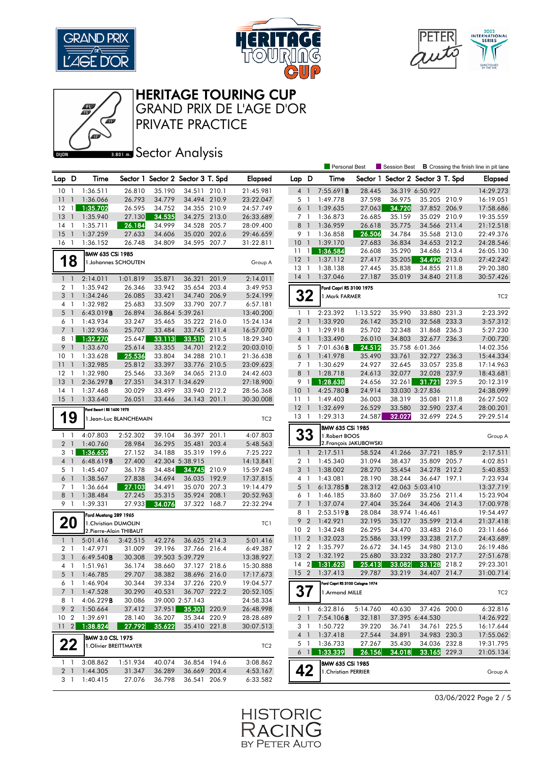





## HERITAGE TOURING CUP

GRAND PRIX DE L'AGE D'OR

PRIVATE PRACTICE

## **BRONES** Sector Analysis

|                 |                |                            |                        |        |                                   |       |                        |                 |                | Personal Best                      |                        | Session Best                      |                           |       | <b>B</b> Crossing the finish line in pit lane |
|-----------------|----------------|----------------------------|------------------------|--------|-----------------------------------|-------|------------------------|-----------------|----------------|------------------------------------|------------------------|-----------------------------------|---------------------------|-------|-----------------------------------------------|
| Lap D           |                | Time                       |                        |        | Sector 1 Sector 2 Sector 3 T. Spd |       | <b>Elapsed</b>         | Lap             | D              | Time                               |                        | Sector 1 Sector 2 Sector 3 T. Spd |                           |       | Elapsed                                       |
| 10              | $\overline{1}$ | 1:36.511                   | 26.810                 | 35.190 | 34.511 210.1                      |       | 21:45.981              |                 | 4 1            | 7:55.691 <b>B</b>                  | 28.445                 |                                   | 36.319 6:50.927           |       | 14:29.273                                     |
| 11              | $\overline{1}$ | 1:36.066                   | 26.793                 | 34.779 | 34.494 210.9                      |       | 23:22.047              |                 | 5 1            | 1:49.778                           | 37.598                 | 36.975                            | 35.205 210.9              |       | 16:19.051                                     |
| $12 \quad 1$    |                | 1:35.702                   | 26.595                 | 34.752 | 34.355 210.9                      |       | 24:57.749              |                 | $6-1$          | 1:39.635                           | 27.063                 | 34.720                            | 37.852 206.9              |       | 17:58.686                                     |
| 13              | $\overline{1}$ | 1:35.940                   | 27.130                 | 34.535 | 34.275 213.0                      |       | 26:33.689              |                 | 7 1            | 1:36.873                           | 26.685                 | 35.159                            | 35.029 210.9              |       | 19:35.559                                     |
| 14              | $\overline{1}$ | 1:35.711                   | 26.184                 | 34.999 | 34.528 205.7                      |       | 28:09.400              | 8 1             |                | 1:36.959                           | 26.618                 | 35.775                            | 34.566                    | 211.4 | 21:12.518                                     |
| 15              | $\overline{1}$ | 1:37.259                   | 27.633                 | 34.606 | 35.020 202.6                      |       | 29:46.659              |                 | 9 1            | 1:36.858                           | 26.506                 | 34.784                            | 35.568 213.0              |       | 22:49.376                                     |
| 16              | $\overline{1}$ | 1:36.152                   | 26.748                 | 34.809 | 34.595 207.7                      |       | 31:22.811              | 10              | $\overline{1}$ | 1:39.170                           | 27.683                 | 36.834                            | 34.653 212.2              |       | 24:28.546                                     |
|                 |                | <b>BMW 635 CSi 1985</b>    |                        |        |                                   |       |                        | 11              | $\overline{1}$ | 1:36.584                           | 26.608                 | 35.290                            | 34.686 213.4              |       | 26:05.130                                     |
|                 | 18             | 1. Johannes SCHOUTEN       |                        |        |                                   |       | Group A                | $12-1$          |                | 1:37.112                           | 27.417                 | 35.205                            | 34.490                    | 213.0 | 27:42.242                                     |
|                 |                |                            |                        |        |                                   |       |                        | 13 1            |                | 1:38.138                           | 27.445                 | 35.838                            | 34.855 211.8              |       | 29:20.380                                     |
| $1\quad$        |                | 2:14.011                   | 1:01.819               | 35.871 | 36.321 201.9                      |       | 2:14.011               | $14-1$          |                | 1:37.046                           | 27.187                 | 35.019                            | 34.840 211.8              |       | 30:57.426                                     |
| $\overline{2}$  | -1             | 1:35.942                   | 26.346                 | 33.942 | 35.654 203.4                      |       | 3:49.953               |                 |                | Ford Capri RS 3100 1975            |                        |                                   |                           |       |                                               |
| 3 <sup>1</sup>  |                | 1:34.246                   | 26.085                 | 33.421 | 34.740 206.9                      |       | 5:24.199               |                 | 32             | 1. Mark FARMER                     |                        |                                   |                           |       | TC <sub>2</sub>                               |
| 4 1             |                | 1:32.982                   | 25.683                 | 33.509 | 33.790 207.7                      |       | 6:57.181               |                 |                |                                    |                        |                                   |                           |       |                                               |
| 5               | $\overline{1}$ | 6:43.019B                  | 26.894                 |        | 36.864 5:39.261                   |       | 13:40.200              |                 | $1\quad$       | 2:23.392                           | 1:13.522               | 35.990                            | 33.880 231.3              |       | 2:23.392                                      |
| 6 1             |                | 1:43.934                   | 33.247                 | 35.465 | 35.222 216.0                      |       | 15:24.134              |                 | 2 <sub>1</sub> | 1:33.920                           | 26.142                 | 35.210                            | 32.568 233.3              |       | 3:57.312                                      |
|                 | 7 <sub>1</sub> | 1:32.936                   | 25.707                 | 33.484 | 33.745 211.4                      |       | 16:57.070              |                 | 3 1            | 1:29.918                           | 25.702                 | 32.348                            | 31.868                    | 236.3 | 5:27.230                                      |
|                 | 8 1            | 1:32.270                   | 25.647                 | 33.113 | 33.510                            | 210.5 | 18:29.340              |                 | 4 1            | 1:33.490                           | 26.010                 | 34.803                            | 32.677 236.3              |       | 7:00.720                                      |
| 9               | $\overline{1}$ | 1:33.670                   | 25.614                 | 33.355 | 34.701                            | 212.2 | 20:03.010              |                 | 5 1            | 7:01.636 <b>B</b>                  | 24.512                 |                                   | 35.758 6:01.366           |       | 14:02.356                                     |
| 10              | -1             | 1:33.628                   | 25.536                 | 33.804 | 34.288 210.1                      |       | 21:36.638              | 6               | $\overline{1}$ | 1:41.978                           | 35.490                 | 33.761                            | 32.727 236.3              |       | 15:44.334                                     |
| 11              | $\overline{1}$ | 1:32.985                   | 25.812                 | 33.397 | 33.776 210.5                      |       | 23:09.623              |                 | 7 <sub>1</sub> | 1:30.629                           | 24.927                 | 32.645                            | 33.057 235.8              |       | 17:14.963                                     |
| $12-1$          | $\mathbf{1}$   | 1:32.980                   | 25.546                 | 33.369 | 34.065 213.0                      |       | 24:42.603              | 8               | $\overline{1}$ | 1:28.718                           | 24.613                 | 32.077                            | 32.028 237.9              |       | 18:43.681                                     |
| 13<br>14        | $\overline{1}$ | 2:36.297B<br>1:37.468      | 27.351<br>30.029       | 33.499 | 34.317 1:34.629<br>33.940 212.2   |       | 27:18.900<br>28:56.368 | 10 <sub>1</sub> | 9 1            | 1:28.638<br>4:25.780B              | 24.656<br>24.914       | 32.261                            | 31.721<br>33.030 3:27.836 | 239.5 | 20:12.319<br>24:38.099                        |
| $15-1$          |                | 1:33.640                   | 26.051                 | 33.446 | 34.143 201.1                      |       | 30:30.008              | 111             |                | 1:49.403                           | 36.003                 | 38.319                            | 35.081 211.8              |       | 26:27.502                                     |
|                 |                |                            |                        |        |                                   |       |                        | $12-1$          |                | 1:32.699                           | 26.529                 | 33.580                            | 32.590 237.4              |       | 28:00.201                                     |
|                 |                | Ford Escort   RS 1600 1975 |                        |        |                                   |       |                        | 13 1            |                | 1:29.313                           | 24.587                 | 32.027                            | 32.699 224.5              |       | 29:29.514                                     |
|                 | 19             |                            | 1.Jean-Luc BLANCHEMAIN |        |                                   |       | TC <sub>2</sub>        |                 |                |                                    |                        |                                   |                           |       |                                               |
| $\mathbf{1}$    | -1             | 4:07.803                   | 2:52.302               | 39.104 | 36.397 201.1                      |       | 4:07.803               |                 | 33             | BMW 635 CSi 1985<br>1. Robert BOOS |                        |                                   |                           |       | Group A                                       |
| 2 <sub>1</sub>  |                | 1:40.760                   | 28.984                 | 36.295 | 35.481 203.4                      |       | 5:48.563               |                 |                |                                    | 2. François JAKUBOWSKI |                                   |                           |       |                                               |
|                 | 3 1            | 1:36.659                   | 27.152                 | 34.188 | 35.319 199.6                      |       | 7:25.222               |                 | $1\quad1$      | 2:17.511                           | 58.524                 | 41.266                            | 37.721 185.9              |       | 2:17.511                                      |
| 4 <sup>1</sup>  |                | 6:48.619B                  | 27.400                 |        | 42.304 5:38.915                   |       | 14:13.841              |                 | 2 <sub>1</sub> | 1:45.340                           | 31.094                 | 38.437                            | 35.809                    | 205.7 | 4:02.851                                      |
| 5 1             |                | 1:45.407                   | 36.178                 | 34.484 | 34.745                            | 210.9 | 15:59.248              |                 | 3 <sup>1</sup> | 1:38.002                           | 28.270                 | 35.454                            | 34.278 212.2              |       | 5:40.853                                      |
| 6 <sub>1</sub>  |                | 1:38.567                   | 27.838                 | 34.694 | 36.035                            | 192.9 | 17:37.815              |                 | 4 1            | 1:43.081                           | 28.190                 | 38.244                            | 36.647 197.1              |       | 7:23.934                                      |
| 7 1             |                | 1:36.664                   | 27.103                 | 34.491 | 35.070 207.3                      |       | 19:14.479              | 5               | $\overline{1}$ | 6:13.785B                          | 28.312                 |                                   | 42.063 5:03.410           |       | 13:37.719                                     |
| 8 <sup>1</sup>  |                | 1:38.484                   | 27.245                 | 35.315 | 35.924 208.1                      |       | 20:52.963              |                 | 6 1            | 1:46.185                           | 33.860                 | 37.069                            | 35.256 211.4              |       | 15:23.904                                     |
|                 | 9 1            | 1:39.331                   | 27.933                 | 34.076 | 37.322 168.7                      |       | 22:32.294              |                 | 7 <sup>1</sup> | 1:37.074                           | 27.404                 | 35.264                            | 34.406                    | 214.3 | 17:00.978                                     |
|                 |                | Ford Mustang 289 1965      |                        |        |                                   |       |                        |                 | 8 1            | 2:53.519B                          | 28.084                 |                                   | 38.974 1:46.461           |       | 19:54.497                                     |
|                 | 20             | 1. Christian DUMOLIN       |                        |        |                                   |       | TC1                    | 9               | $\overline{2}$ | 1:42.921                           | 32.195                 | 35.127                            | 35.599                    | 213.4 | 21:37.418                                     |
|                 |                | 2. Pierre-Alain THIBAUT    |                        |        |                                   |       |                        | 10 <sub>2</sub> |                | 1:34.248                           | 26.295                 | 34.470                            | 33.483 216.0              |       | 23:11.666                                     |
| $1 \quad 1$     |                | 5:01.416                   | 3:42.515               | 42.276 | 36.625 214.3                      |       | 5:01.416               | 11              | $\overline{2}$ | 1:32.023                           | 25.586                 | 33.199                            | 33.238                    | 217.7 | 24:43.689                                     |
| 2 <sub>1</sub>  |                | 1:47.971                   | 31.009                 | 39.196 | 37.766 216.4                      |       | 6:49.387               | 12              | $\overline{2}$ | 1:35.797                           | 26.672                 | 34.145                            | 34.980                    | 213.0 | 26:19.486                                     |
| 3 <sup>1</sup>  |                | 6:49.540B                  | 30.308                 |        | 39.503 5:39.729                   |       | 13:38.927              | 13              | $\overline{2}$ | 1:32.192                           | 25.680                 | 33.232                            | 33.280 217.7              |       | 27:51.678                                     |
| 4 1             |                | 1:51.961                   | 36.174                 | 38.660 | 37.127 218.6                      |       | 15:30.888              | $14 \quad 2$    |                | 1:31.623                           | 25.413                 | 33.082                            | 33.128                    | 218.2 | 29:23.301                                     |
|                 |                | 5 1 1:46.785               | 29.707                 | 38.382 | 38.696 216.0                      |       | 17:17.673              | 15 2            |                | 1:37.413                           | 29.787                 | 33.219                            | 34.407 214.7              |       | 31:00.714                                     |
|                 | 61             | 1:46.904                   | 30.344                 | 39.334 | 37.226 220.9                      |       | 19:04.577              |                 |                | Ford Capri RS 3100 Cologne 1974    |                        |                                   |                           |       |                                               |
|                 | 7 <sub>1</sub> | 1:47.528                   | 30.290                 | 40.531 | 36.707 222.2                      |       | 20:52.105              |                 | 37             | 1.Armand MILLE                     |                        |                                   |                           |       | TC <sub>2</sub>                               |
|                 | 81             | 4:06.229B                  | 30.086                 |        | 39.000 2:57.143                   |       | 24:58.334              |                 |                |                                    |                        |                                   |                           |       |                                               |
|                 | 9 2            | 1:50.664                   | 37.412                 | 37.951 | 35.301 220.9                      |       | 26:48.998              |                 | $1\quad1$      | 6:32.816                           | 5:14.760               | 40.630                            | 37.426 200.0              |       | 6:32.816                                      |
| 10 <sub>2</sub> |                | 1:39.691                   | 28.140                 | 36.207 | 35.344 220.9                      |       | 28:28.689              |                 | 2 <sub>1</sub> | 7:54.106B                          | 32.181                 |                                   | 37.395 6:44.530           |       | 14:26.922                                     |
| $11 \quad 2$    |                | 1:38.824                   | 27.792                 | 35.622 | 35.410 221.8                      |       | 30:07.513              |                 | 3 1            | 1:50.722                           | 39.220                 | 36.741                            | 34.761 225.5              |       | 16:17.644                                     |
|                 |                | <b>BMW 3.0 CSL 1975</b>    |                        |        |                                   |       |                        |                 | 4 1            | 1:37.418                           | 27.544                 | 34.891                            | 34.983 230.3              |       | 17:55.062                                     |
|                 | 22             | 1. Olivier BREITTMAYER     |                        |        |                                   |       | TC <sub>2</sub>        |                 | 5 1            | 1:36.733                           | 27.267                 | 35.430                            | 34.036 232.8              |       | 19:31.795                                     |
|                 |                |                            |                        |        |                                   |       |                        |                 | $6 \mid \mid$  | 1:33.339                           | 26.156                 | 34.018                            | 33.165 229.3              |       | 21:05.134                                     |
|                 | $1\quad1$      | 3:08.862                   | 1:51.934               | 40.074 | 36.854 194.6                      |       | 3:08.862               |                 |                | BMW 635 CSi 1985                   |                        |                                   |                           |       |                                               |
|                 | 2 <sub>1</sub> | 1:44.305                   | 31.347                 | 36.289 | 36.669 203.4                      |       | 4:53.167               |                 | 42             | 1. Christian PERRIER               |                        |                                   |                           |       | Group A                                       |
|                 | 31             | 1:40.415                   | 27.076                 | 36.798 | 36.541 206.9                      |       | 6:33.582               |                 |                |                                    |                        |                                   |                           |       |                                               |

03/06/2022 Page 2 / 5

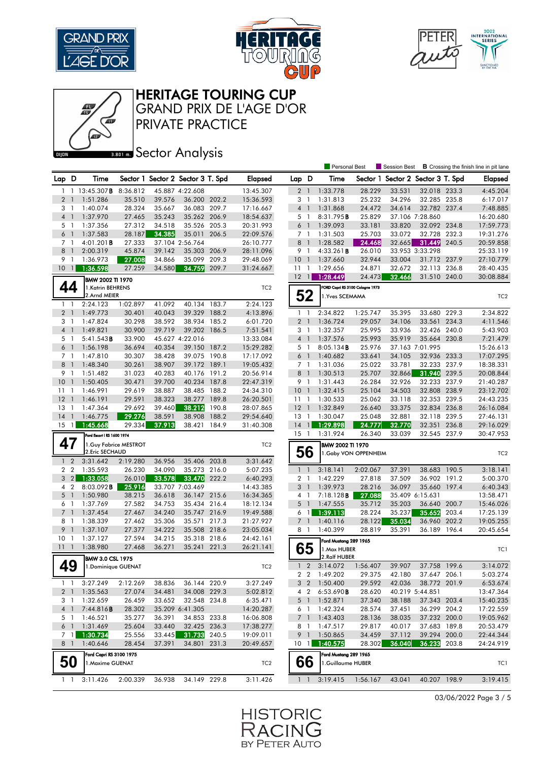





HERITAGE TOURING CUP

GRAND PRIX DE L'AGE D'OR

PRIVATE PRACTICE

**BRONES** Sector Analysis

|                 |                |                            |                        |        |                                   |       |                 |                 |                | Personal Best                   |                       | Session Best             |                 |       | <b>B</b> Crossing the finish line in pit lane |
|-----------------|----------------|----------------------------|------------------------|--------|-----------------------------------|-------|-----------------|-----------------|----------------|---------------------------------|-----------------------|--------------------------|-----------------|-------|-----------------------------------------------|
| Lap D           |                | Time                       |                        |        | Sector 1 Sector 2 Sector 3 T. Spd |       | <b>Elapsed</b>  | Lap D           |                | Time                            | Sector 1              | Sector 2 Sector 3 T. Spd |                 |       | <b>Elapsed</b>                                |
| 1               |                | 1 13:45.307 <b>B</b>       | 8:36.812               |        | 45.887 4:22.608                   |       | 13:45.307       | 2 <sub>1</sub>  |                | 1:33.778                        | 28.229                | 33.531                   | 32.018 233.3    |       | 4:45.204                                      |
| $\overline{2}$  | $\overline{1}$ | 1:51.286                   | 35.510                 | 39.576 | 36.200 202.2                      |       | 15:36.593       | 3 1             |                | 1:31.813                        | 25.232                | 34.296                   | 32.285 235.8    |       | 6:17.017                                      |
| 3 1             |                | 1:40.074                   | 28.324                 | 35.667 | 36.083                            | 209.7 | 17:16.667       | $4-1$           |                | 1:31.868                        | 24.472                | 34.614                   | 32.782 237.4    |       | 7:48.885                                      |
| 4 <sup>1</sup>  |                | 1:37.970                   | 27.465                 | 35.243 | 35.262 206.9                      |       | 18:54.637       | 5 1             |                | 8:31.795B                       | 25.829                |                          | 37.106 7:28.860 |       | 16:20.680                                     |
| 5 <sub>1</sub>  |                | 1:37.356                   | 27.312                 | 34.518 | 35.526 205.3                      |       | 20:31.993       | $6-1$           |                | 1:39.093                        | 33.181                | 33.820                   | 32.092 234.8    |       | 17:59.773                                     |
| 6 <sup>1</sup>  |                | 1:37.583                   | 28.187                 | 34.385 | 35.011                            | 206.5 | 22:09.576       | 7 <sub>1</sub>  |                | 1:31.503                        | 25.703                | 33.072                   | 32.728          | 232.3 | 19:31.276                                     |
| 7 <sub>1</sub>  |                | 4:01.201 <b>B</b>          | 27.333                 |        | 37.104 2:56.764                   |       | 26:10.777       | 8 <sup>1</sup>  |                | 1:28.582                        | 24.468                | 32.665                   | 31.449 240.5    |       | 20:59.858                                     |
| 8               | $\overline{1}$ | 2:00.319                   | 45.874                 | 39.142 | 35.303 206.9                      |       | 28:11.096       | 9 1             |                | 4:33.261B                       | 26.010                |                          | 33.953 3:33.298 |       | 25:33.119                                     |
| 9 1             |                | 1:36.973                   | 27.008                 | 34.866 | 35.099                            | 209.3 | 29:48.069       | 10 <sup>°</sup> | $\overline{1}$ | 1:37.660                        | 32.944                | 33.004                   | 31.712 237.9    |       | 27:10.779                                     |
| 101             |                | 1:36.598                   | 27.259                 | 34.580 | 34.759                            | 209.7 | 31:24.667       | $11-1$          |                | 1:29.656                        | 24.871                | 32.672                   | 32.113 236.8    |       | 28:40.435                                     |
|                 |                | <b>BMW 2002 TI 1970</b>    |                        |        |                                   |       |                 | $12-1$          |                | 1:28.449                        | 24.473                | 32.466                   | 31.510 240.0    |       | 30:08.884                                     |
|                 | 44             | 1.Katrin BEHRENS           |                        |        |                                   |       | TC <sub>2</sub> |                 |                | FORD Capri RS 3100 Cologne 1973 |                       |                          |                 |       |                                               |
|                 |                | 2.Arnd MEIER               |                        |        |                                   |       |                 |                 | 52             | 1. Yves SCEMAMA                 |                       |                          |                 |       | TC <sub>2</sub>                               |
| $1 \quad 1$     |                | 2:24.123                   | 1:02.897               | 41.092 | 40.134 183.7                      |       | 2:24.123        |                 |                |                                 |                       |                          |                 |       |                                               |
| 2 <sub>1</sub>  |                | 1:49.773                   | 30.401                 | 40.043 | 39.329                            | 188.2 | 4:13.896        | $1\quad$        |                | 2:34.822                        | 1:25.747              | 35.395                   | 33.680 229.3    |       | 2:34.822                                      |
| 3 <sub>1</sub>  |                | 1:47.824                   | 30.298                 | 38.592 | 38.934 185.2                      |       | 6:01.720        | 2 <sub>1</sub>  |                | 1:36.724                        | 29.057                | 34.106                   | 33.561          | 234.3 | 4:11.546                                      |
| 4 <sup>1</sup>  |                | 1:49.821                   | 30.900                 | 39.719 | 39.202 186.5                      |       | 7:51.541        | 3 1             |                | 1:32.357                        | 25.995                | 33.936                   | 32.426 240.0    |       | 5:43.903                                      |
| 5 <sub>1</sub>  |                | 5:41.543B                  | 33.900                 |        | 45.627 4:22.016                   |       | 13:33.084       | $4-1$           |                | 1:37.576                        | 25.993                | 35.919                   | 35.664 230.8    |       | 7:21.479                                      |
| 6 <sup>1</sup>  |                | 1:56.198                   | 36.694                 | 40.354 | 39.150 187.2                      |       | 15:29.282       | 5 1             |                | 8:05.134B                       | 25.976                |                          | 37.163 7:01.995 |       | 15:26.613                                     |
| 7 <sub>1</sub>  |                | 1:47.810                   | 30.307                 | 38.428 | 39.075 190.8                      |       | 17:17.092       | $6-1$           |                | 1:40.682                        | 33.641                | 34.105                   | 32.936 233.3    |       | 17:07.295                                     |
| 8 <sup>1</sup>  |                | 1:48.340                   | 30.261                 | 38.907 | 39.172 189.1                      |       | 19:05.432       | 7 <sub>1</sub>  |                | 1:31.036                        | 25.022                | 33.781                   | 32.233          | 237.9 | 18:38.331                                     |
| 9               | $\mathbf{1}$   | 1:51.482                   | 31.023                 | 40.283 | 40.176 191.2                      |       | 20:56.914       | 8 <sup>1</sup>  |                | 1:30.513                        | 25.707                | 32.866                   | 31.940 239.5    |       | 20:08.844                                     |
| 10 <sup>°</sup> | $\overline{1}$ | 1:50.405                   | 30.471                 | 39.700 | 40.234 187.8                      |       | 22:47.319       | 9 1             |                | 1:31.443                        | 26.284                | 32.926                   | 32.233 237.9    |       | 21:40.287                                     |
| 11              | $\mathbf{1}$   | 1:46.991                   | 29.619                 | 38.887 | 38.485                            | 188.2 | 24:34.310       | 10 <sub>1</sub> |                | 1:32.415                        | 25.104                | 34.503                   | 32.808 238.9    |       | 23:12.702                                     |
| $12-1$          |                | 1:46.191                   | 29.591                 | 38.323 | 38.277 189.8                      |       | 26:20.501       | $11-1$          |                | 1:30.533                        | 25.062                | 33.118                   | 32.353 239.5    |       | 24:43.235                                     |
| 13              | $\overline{1}$ | 1:47.364                   | 29.692                 | 39.460 | 38.212                            | 190.8 | 28:07.865       | $12-1$          |                | 1:32.849                        | 26.640                | 33.375                   | 32.834 236.8    |       | 26:16.084                                     |
| 14              | $\mathbf{1}$   | 1:46.775                   | 29.276                 | 38.591 | 38.908                            | 188.2 | 29:54.640       | $13-1$          |                | 1:30.047                        | 25.048                | 32.881                   | 32.118 239.5    |       | 27:46.131                                     |
| $15 \quad 1$    |                | 1:45.668                   | 29.334                 | 37.913 | 38.421                            | 184.9 | 31:40.308       | $14-1$          |                | 1:29.898                        | 24.777                | 32.770                   | 32.351          | 236.8 | 29:16.029                                     |
|                 |                | Ford Escort   RS 1600 1974 |                        |        |                                   |       |                 | $15-1$          |                | 1:31.924                        | 26.340                | 33.039                   | 32.545 237.9    |       | 30:47.953                                     |
| 47              |                |                            | 1. Guy Fabrice MESTROT |        |                                   |       | TC <sub>2</sub> |                 |                | BMW 2002 TI 1970                |                       |                          |                 |       |                                               |
|                 |                | 2. Eric SECHAUD            |                        |        |                                   |       |                 |                 | 56             |                                 | 1. Gaby VON OPPENHEIM |                          |                 |       | TC <sub>2</sub>                               |
|                 | $1\quad 2$     | 3:31.642                   | 2:19.280               | 36.956 | 35.406 203.8                      |       | 3:31.642        |                 |                |                                 |                       |                          |                 |       |                                               |
| 2 <sub>2</sub>  |                | 1:35.593                   | 26.230                 | 34.090 | 35.273 216.0                      |       | 5:07.235        | $\mathbf{1}$    | $\overline{1}$ | 3:18.141                        | 2:02.067              | 37.391                   | 38.683 190.5    |       | 3:18.141                                      |
|                 | $3 \quad 2$    | 1:33.058                   | 26.010                 | 33.578 | 33.470                            | 222.2 | 6:40.293        | 2 <sub>1</sub>  |                | 1:42.229                        | 27.818                | 37.509                   | 36.902 191.2    |       | 5:00.370                                      |
| 4 <sup>2</sup>  |                | $8:03.092$ <b>B</b>        | 25.916                 |        | 33.707 7:03.469                   |       | 14:43.385       | 3               | $\overline{1}$ | 1:39.973                        | 28.216                | 36.097                   | 35.660 197.4    |       | 6:40.343                                      |
| 5 <sub>1</sub>  |                | 1:50.980                   | 38.215                 | 36.618 | 36.147 215.6                      |       | 16:34.365       | 4 1             |                | 7:18.128B                       | 27.088                |                          | 35.409 6:15.631 |       | 13:58.471                                     |
| 6 1             |                | 1:37.769                   | 27.582                 | 34.753 | 35.434 216.4                      |       | 18:12.134       | $5-1$           |                | 1:47.555                        | 35.712                | 35.203                   | 36.640 200.7    |       | 15:46.026                                     |
| $7^{\circ}$     | $\overline{1}$ | 1:37.454                   | 27.467                 | 34.240 | 35.747 216.9                      |       | 19:49.588       | 6 1             |                | 1:39.113                        | 28.224                | 35.237                   | 35.652          | 203.4 | 17:25.139                                     |
| 8               | $\overline{1}$ | 1:38.339                   | 27.462                 | 35.306 | 35.571                            | 217.3 | 21:27.927       | 7 <sup>1</sup>  |                | 1:40.116                        | 28.122                | 35.034                   | 36.960          | 202.2 | 19:05.255                                     |
| 9               | $\overline{1}$ | 1:37.107                   | 27.377                 | 34.222 | 35.508 218.6                      |       | 23:05.034       | 8 1             |                | 1:40.399                        | 28.819                | 35.391                   | 36.189 196.4    |       | 20:45.654                                     |
| 10 <sub>1</sub> |                | 1:37.127                   | 27.594                 | 34.215 | 35.318 218.6                      |       | 24:42.161       |                 |                | Ford Mustang 289 1965           |                       |                          |                 |       |                                               |
| 111             |                | 1:38.980                   | 27.468                 | 36.271 | 35.241 221.3                      |       | 26:21.141       |                 | 65             | 1. Max HUBER                    |                       |                          |                 |       | TC1                                           |
|                 |                | <b>BMW 3.0 CSL 1975</b>    |                        |        |                                   |       |                 |                 |                | 2.Ralf HUBER                    |                       |                          |                 |       |                                               |
| 49              |                | 1. Dominique GUENAT        |                        |        |                                   |       | TC <sub>2</sub> | $\mathbf{1}$    | $\overline{2}$ | 3:14.072                        | 1:56.407              | 39.907                   | 37.758 199.6    |       | 3:14.072                                      |
|                 |                |                            |                        |        |                                   |       |                 |                 |                | 2 2 1:49.202                    | 29.375                | 42.180                   | 37.647 206.1    |       | 5:03.274                                      |
| $1\quad1$       |                | 3:27.249                   | 2:12.269               | 38.836 | 36.144 220.9                      |       | 3:27.249        |                 |                | 3 2 1:50.400                    | 29.592                | 42.036                   | 38.772 201.9    |       | 6:53.674                                      |
|                 | 2 <sub>1</sub> | 1:35.563                   | 27.074                 | 34.481 | 34.008 229.3                      |       | 5:02.812        |                 | 4 2            | 6:53.690B                       | 28.620                |                          | 40.219 5:44.851 |       | 13:47.364                                     |
| 3 1             |                | 1:32.659                   | 26.459                 | 33.652 | 32.548 234.8                      |       | 6:35.471        |                 |                | 5 1 1:52.871                    | 37.340                | 38.188                   | 37.343 203.4    |       | 15:40.235                                     |
| 4 <sup>1</sup>  |                | 7:44.816B                  | 28.302                 |        | 35.209 6:41.305                   |       | 14:20.287       | 6 1             |                | 1:42.324                        | 28.574                | 37.451                   | 36.299 204.2    |       | 17:22.559                                     |
| 5 1             |                | 1:46.521                   | 35.277                 | 36.391 | 34.853 233.8                      |       | 16:06.808       | 7 <sub>1</sub>  |                | 1:43.403                        | 28.136                | 38.035                   | 37.232 200.0    |       | 19:05.962                                     |
| 6 1             |                | 1:31.469                   | 25.604                 | 33.440 | 32.425 236.3                      |       | 17:38.277       | 81              |                | 1:47.517                        | 29.817                | 40.017                   | 37.683 189.8    |       | 20:53.479                                     |
|                 | 7 <sup>1</sup> | 1:30.734                   | 25.556                 | 33.445 | 31.733                            | 240.5 | 19:09.011       | 9 1             |                | 1:50.865                        | 34.459                | 37.112                   | 39.294 200.0    |       | 22:44.344                                     |
|                 | 8 1            | 1:40.646                   | 28.454                 | 37.391 | 34.801 231.3                      |       | 20:49.657       | 10 <sub>1</sub> |                | 1:40.575                        | 28.302                | 36.040                   | 36.233 203.8    |       | 24:24.919                                     |
|                 |                | Ford Capri RS 3100 1975    |                        |        |                                   |       |                 |                 |                | Ford Mustang 289 1965           |                       |                          |                 |       |                                               |
|                 | 50             | 1. Maxime GUENAT           |                        |        |                                   |       | TC <sub>2</sub> |                 | 66             | 1.Guillaume HUBER               |                       |                          |                 |       | TC1                                           |
|                 |                |                            |                        |        |                                   |       |                 |                 |                |                                 |                       |                          |                 |       |                                               |
|                 | $1\quad1$      | 3:11.426                   | 2:00.339               | 36.938 | 34.149 229.8                      |       | 3:11.426        |                 | $1\quad1$      | 3:19.415                        | 1:56.167              | 43.041                   | 40.207 198.9    |       | 3:19.415                                      |

03/06/2022 Page 3 / 5

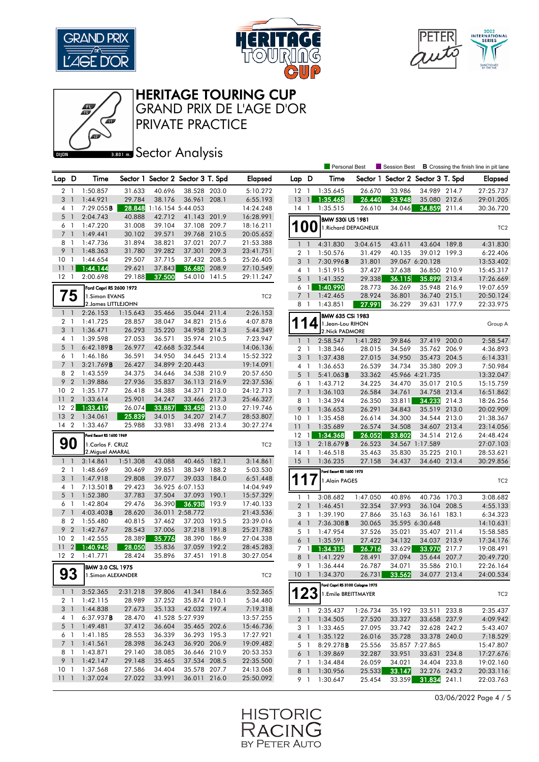







GRAND PRIX DE L'AGE D'OR

PRIVATE PRACTICE

## **Banks** Sector Analysis

|                                   |                |                          |                  |                   |                                   |       |                        |                 |                |                          | Personal Best                   | <b>Session Best</b>               |                              |       | <b>B</b> Crossing the finish line in pit lane |
|-----------------------------------|----------------|--------------------------|------------------|-------------------|-----------------------------------|-------|------------------------|-----------------|----------------|--------------------------|---------------------------------|-----------------------------------|------------------------------|-------|-----------------------------------------------|
| Lap D                             |                | Time                     |                  |                   | Sector 1 Sector 2 Sector 3 T. Spd |       | <b>Elapsed</b>         | Lap D           |                | Time                     |                                 | Sector 1 Sector 2 Sector 3 T. Spd |                              |       | <b>Elapsed</b>                                |
| $\overline{2}$                    | $\overline{1}$ | 1:50.857                 | 31.633           | 40.696            | 38.528 203.0                      |       | 5:10.272               | $12-1$          |                | 1:35.645                 | 26.670                          | 33.986                            | 34.989 214.7                 |       | 27:25.737                                     |
| 3                                 | $\overline{1}$ | 1:44.921                 | 29.784           | 38.176            | 36.961 208.1                      |       | 6:55.193               | 13              | $\overline{1}$ | 1:35.468                 | 26.440                          | 33.948                            | 35.080 212.6                 |       | 29:01.205                                     |
| 4 1                               |                | 7:29.055B                | 28.848           | 1:16.154 5:44.053 |                                   |       | 14:24.248              | $14-1$          |                | 1:35.515                 | 26.610                          | 34.046                            | 34.859                       | 211.4 | 30:36.720                                     |
| 5                                 | $\overline{1}$ | 2:04.743                 | 40.888           | 42.712            | 41.143 201.9                      |       | 16:28.991              |                 |                | <b>BMW 530i US 1981</b>  |                                 |                                   |                              |       |                                               |
| 6 1                               |                | 1:47.220                 | 31.008           | 39.104            | 37.108 209.7                      |       | 18:16.211              | <b>100</b>      |                |                          | 1. Richard DEPAGNEUX            |                                   |                              |       | TC <sub>2</sub>                               |
| 7 <sup>1</sup>                    |                | 1:49.441                 | 30.102           | 39.571            | 39.768 210.5                      |       | 20:05.652              |                 |                |                          |                                 |                                   |                              |       |                                               |
| 8                                 | $\overline{1}$ | 1:47.736                 | 31.894           | 38.821            | 37.021 207.7                      |       | 21:53.388              | $1\quad$        |                | 4:31.830                 | 3:04.615                        | 43.611                            | 43.604 189.8                 |       | 4:31.830                                      |
| 9                                 | $\overline{1}$ | 1:48.363                 | 31.780           | 39.282            | 37.301                            | 209.3 | 23:41.751              | 2 <sub>1</sub>  |                | 1:50.576                 | 31.429                          | 40.135                            | 39.012 199.3                 |       | 6:22.406                                      |
| 10 <sup>°</sup>                   | -1             | 1:44.654                 | 29.507           | 37.715            | 37.432 208.5                      |       | 25:26.405              | 3               | $\overline{1}$ | 7:30.996B                | 31.801                          |                                   | 39.067 6:20.128              |       | 13:53.402                                     |
| 11                                | $\overline{1}$ | 1:44.144                 | 29.621           | 37.843            | 36.680                            | 208.9 | 27:10.549              | $4-1$           |                | 1:51.915                 | 37.427                          | 37.638                            | 36.850 210.9                 |       | 15:45.317                                     |
| $12-1$                            |                | 2:00.698                 | 29.188           | 37.500            | 54.010 141.5                      |       | 29:11.247              | 5 <sub>1</sub>  |                | 1:41.352                 | 29.338                          | 36.115                            | 35.899                       | 213.4 | 17:26.669                                     |
|                                   |                | Ford Capri RS 2600 1972  |                  |                   |                                   |       |                        | 6               | $\mathbf{1}$   | 1:40.990                 | 28.773                          | 36.269                            | 35.948                       | 216.9 | 19:07.659                                     |
|                                   | 75             | 1.Simon EVANS            |                  |                   |                                   |       | TC <sub>2</sub>        | 7 <sup>1</sup>  |                | 1:42.465                 | 28.924                          | 36.801                            | 36.740 215.1                 |       | 20:50.124                                     |
|                                   |                | 2. James LITTLEJOHN      |                  |                   |                                   |       |                        | 8               | $\overline{1}$ | 1:43.851                 | 27.991                          | 36.229                            | 39.631 177.9                 |       | 22:33.975                                     |
| $1\quad$                          |                | 2:26.153                 | 1:15.643         | 35.466            | 35.044 211.4                      |       | 2:26.153               |                 |                | <b>BMW 635 CSi 1983</b>  |                                 |                                   |                              |       |                                               |
| 2 <sub>1</sub>                    |                | 1:41.725                 | 28.857           | 38.047            | 34.821 215.6                      |       | 4:07.878               |                 |                | 1. Jean-Lou RIHON        |                                 |                                   |                              |       | Group A                                       |
| 3 <sup>1</sup>                    |                | 1:36.471                 | 26.293           | 35.220            | 34.958 214.3                      |       | 5:44.349               |                 |                | 2. Nick PADMORE          |                                 |                                   |                              |       |                                               |
| 4 1                               |                | 1:39.598                 | 27.053           | 36.571            | 35.974 210.5                      |       | 7:23.947               | $1\quad$        |                | 2:58.547                 | 1:41.282                        | 39.846                            | 37.419 200.0                 |       | 2:58.547                                      |
| 5 <sub>1</sub>                    |                | 6:42.189B                | 26.977           |                   | 42.668 5:32.544                   |       | 14:06.136              | 2 <sub>1</sub>  |                | 1:38.346                 | 28.015                          | 34.569                            | 35.762 206.9                 |       | 4:36.893                                      |
| 6 1                               |                | 1:46.186                 | 36.591           | 34.950            | 34.645 213.4                      |       | 15:52.322              | 3               | $\mathbf{1}$   | 1:37.438                 | 27.015                          | 34.950                            | 35.473 204.5                 |       | 6:14.331                                      |
| $7^{\circ}$                       | $\overline{1}$ | 3:21.769B                | 26.427           |                   | 34.899 2:20.443                   |       | 19:14.091              | $4-1$           |                | 1:36.653                 | 26.539                          | 34.734                            | 35.380 209.3                 |       | 7:50.984                                      |
| 8 2                               |                | 1:43.559                 | 34.375           | 34.646            | 34.538 210.9                      |       | 20:57.650              | 5               | $\overline{1}$ | $5:41.063$ B             | 33.362                          |                                   | 45.966 4:21.735              |       | 13:32.047                                     |
| 9 <sub>2</sub><br>10 <sub>2</sub> |                | 1:39.886<br>1:35.177     | 27.936           | 35.837            | 36.113 216.9<br>34.371            |       | 22:37.536              | 6 1             |                | 1:43.712                 | 34.225                          | 34.470                            | 35.017 210.5                 |       | 15:15.759                                     |
| 11                                | $\overline{2}$ | 1:33.614                 | 26.418<br>25.901 | 34.388<br>34.247  | 33.466 217.3                      | 213.0 | 24:12.713<br>25:46.327 | $\overline{7}$  | $\mathbf{1}$   | 1:36.103                 | 26.584                          | 34.761                            | 34.758 213.4                 |       | 16:51.862                                     |
| 12                                | $\overline{2}$ | 1:33.419                 | 26.074           | 33.887            | 33.458                            | 213.0 | 27:19.746              | 8 1             |                | 1:34.394                 | 26.350                          | 33.811                            | 34.233                       | 214.3 | 18:26.256                                     |
| 13 <sub>2</sub>                   |                | 1:34.061                 | 25.839           | 34.015            | 34.207 214.7                      |       | 28:53.807              | 9 1             |                | 1:36.653                 | 26.291                          | 34.843                            | 35.519 213.0                 |       | 20:02.909                                     |
| 14 2                              |                | 1:33.467                 | 25.988           | 33.981            | 33.498 213.4                      |       | 30:27.274              | 10              | $\mathbf{1}$   | 1:35.458                 | 26.614                          | 34.300                            | 34.544                       | 213.0 | 21:38.367                                     |
|                                   |                | Ford Escort RS 1600 1969 |                  |                   |                                   |       |                        | 11 <sub>1</sub> | $\overline{1}$ | 1:35.689<br>1:34.368     | 26.574<br>26.052                | 34.508                            | 34.607 213.4<br>34.514 212.6 |       | 23:14.056<br>24:48.424                        |
|                                   | 90             | 1. Carlos F. CRUZ        |                  |                   |                                   |       |                        | $12 \,$<br>13   | $\overline{1}$ | 2:18.679B                | 26.523                          | 33.802                            | 34.567 1:17.589              |       | 27:07.103                                     |
|                                   |                | 2. Miguel AMARAL         |                  |                   |                                   |       | TC <sub>2</sub>        | $14-1$          |                | 1:46.518                 | 35.463                          | 35.830                            | 35.225 210.1                 |       | 28:53.621                                     |
| 1 <sup>1</sup>                    |                | 3:14.861                 | 1:51.308         | 43.088            | 40.465                            | 182.1 | 3:14.861               | 15              | $\overline{1}$ | 1:36.235                 | 27.158                          | 34.437                            | 34.640 213.4                 |       | 30:29.856                                     |
| 2 <sub>1</sub>                    |                | 1:48.669                 | 30.469           | 39.851            | 38.349 188.2                      |       | 5:03.530               |                 |                | Ford Escort RS 1600 1975 |                                 |                                   |                              |       |                                               |
| 3                                 | $\overline{1}$ | 1:47.918                 | 29.808           | 39.077            | 39.033                            | 184.0 | 6:51.448               | 117             |                |                          |                                 |                                   |                              |       |                                               |
| 4 1                               |                | 7:13.501B                | 29.423           |                   | 36.925 6:07.153                   |       | 14:04.949              |                 |                | 1.Alain PAGES            |                                 |                                   |                              |       | TC <sub>2</sub>                               |
| 5                                 | $\overline{1}$ | 1:52.380                 | 37.783           | 37.504            | 37.093 190.1                      |       | 15:57.329              | $1\quad$        |                | 3:08.682                 | 1:47.050                        | 40.896                            | 40.736 170.3                 |       | 3:08.682                                      |
| 6 1                               |                | 1:42.804                 | 29.476           | 36.390            | 36.938 193.9                      |       | 17:40.133              | 2 <sub>1</sub>  |                | 1:46.451                 | 32.354                          | 37.993                            | 36.104                       | 208.5 | 4:55.133                                      |
| $\overline{7}$                    | $\overline{1}$ | $4:03.403$ <b>B</b>      | 28.620           |                   | 36.011 2:58.772                   |       | 21:43.536              | 3 <sup>1</sup>  |                | 1:39.190                 | 27.866                          | 35.163                            | 36.161 183.1                 |       | 6:34.323                                      |
| 8                                 | $\overline{2}$ | 1:55.480                 | 40.815           | 37.462            | 37.203 193.5                      |       | 23:39.016              | 4 <sup>1</sup>  |                | 7:36.308B                | 30.065                          |                                   | 35.595 6:30.648              |       | 14:10.631                                     |
| 9                                 | $\overline{2}$ | 1:42.767                 | 28.543           | 37.006            | 37.218 191.8                      |       | 25:21.783              | 5 <sub>1</sub>  |                | 1:47.954                 | 37.526                          | 35.021                            | 35.407 211.4                 |       | 15:58.585                                     |
| 10                                | $\overline{2}$ | 1:42.555                 | 28.389           | 35.776            | 38.390 186.9                      |       | 27:04.338              | 6               | $\overline{1}$ | 1:35.591                 | 27.422                          | 34.132                            | 34.037 213.9                 |       | 17:34.176                                     |
| 11                                | $\overline{2}$ | 1:40.945                 | 28.050           | 35.836            | 37.059 192.2                      |       | 28:45.283              | 7 <sub>1</sub>  |                | 1:34.315                 | 26.716                          | 33.629                            | 33.970                       | 217.7 | 19:08.491                                     |
| 12 <sub>2</sub>                   |                | 1:41.771                 | 28.424           | 35.896            | 37.451                            | 191.8 | 30:27.054              | 8               | $\overline{1}$ | 1:41.229                 | 28.491                          | 37.094                            | 35.644 207.7                 |       | 20:49.720                                     |
|                                   |                | <b>BMW 3.0 CSL 1975</b>  |                  |                   |                                   |       |                        | 9 1             |                | 1:36.444                 | 26.787                          | 34.071                            | 35.586 210.1                 |       | 22:26.164                                     |
|                                   | 93             | 1.Simon ALEXANDER        |                  |                   |                                   |       | TC <sub>2</sub>        |                 |                | 10 1 1:34.370            | 26.731                          | 33.562                            | 34.077 213.4                 |       | 24:00.534                                     |
|                                   |                |                          |                  |                   |                                   |       |                        |                 |                |                          | Ford Capri RS 3100 Cologne 1975 |                                   |                              |       |                                               |
|                                   | $1 \quad 1$    | 3:52.365                 | 2:31.218         | 39.806            | 41.341 184.6                      |       | 3:52.365               | 123             |                |                          | 1.Emile BREITTMAYER             |                                   |                              |       | TC <sub>2</sub>                               |
|                                   | 2 1            | 1:42.115                 | 28.989           | 37.252            | 35.874 210.1                      |       | 5:34.480               |                 |                |                          |                                 |                                   |                              |       |                                               |
|                                   |                | 3 1 1:44.838             | 27.673           | 35.133            | 42.032 197.4                      |       | 7:19.318               |                 | $1\quad1$      | 2:35.437                 | 1:26.734                        | 35.192                            | 33.511 233.8                 |       | 2:35.437                                      |
|                                   | 4 1            | 6:37.937B                | 28.470           |                   | 41.528 5:27.939                   |       | 13:57.255              |                 |                | 2 1 1:34.505             | 27.520                          | 33.327                            | 33.658 237.9                 |       | 4:09.942                                      |
|                                   | 5 <sub>1</sub> | 1:49.481                 | 37.412           | 36.604            | 35.465 202.6                      |       | 15:46.736              |                 |                | 3 1 1:33.465             | 27.095                          | 33.742                            | 32.628 242.2                 |       | 5:43.407                                      |
| 6 1                               |                | 1:41.185                 | 28.553           | 36.339            | 36.293 195.3                      |       | 17:27.921              | 4 1             |                | 1:35.122                 | 26.016                          | 35.728                            | 33.378 240.0                 |       | 7:18.529                                      |
|                                   | 7 <sup>1</sup> | 1:41.561                 | 28.398           | 36.243            | 36.920 206.9                      |       | 19:09.482              |                 | 5 1            | 8:29.278B                | 25.556                          |                                   | 35.857 7:27.865              |       | 15:47.807                                     |
|                                   | 8 1            | 1:43.871                 | 29.140           | 38.085            | 36.646 210.9                      |       | 20:53.353              |                 | 6 1            | 1:39.869                 | 32.287                          | 33.951                            | 33.631 234.8                 |       | 17:27.676                                     |
|                                   | 9 1            | 1:42.147                 | 29.148           | 35.465            | 37.534 208.5                      |       | 22:35.500              | 7 1             |                | 1:34.484                 | 26.059                          | 34.021                            | 34.404 233.8                 |       | 19:02.160                                     |
| 10 <sub>1</sub><br>$11 \quad 1$   |                | 1:37.568                 | 27.586           | 34.404<br>33.991  | 35.578 207.7                      |       | 24:13.068<br>25:50.092 |                 | 8 1            | 1:30.956                 | 25.533                          | 33.147                            | 32.276 243.2                 |       | 20:33.116                                     |
|                                   |                | 1:37.024                 | 27.022           |                   | 36.011 216.0                      |       |                        |                 |                | 9 1 1:30.647             | 25.454                          | 33.359                            | 31.834 241.1                 |       | 22:03.763                                     |

03/06/2022 Page 4 / 5